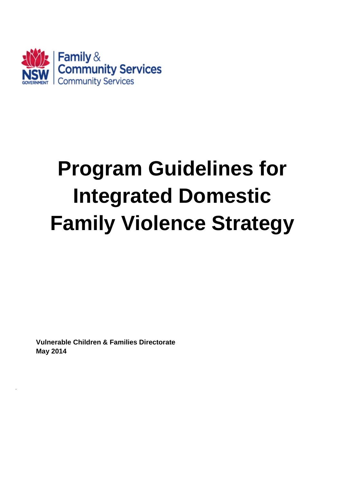

# **Program Guidelines for Integrated Domestic Family Violence Strategy**

**Vulnerable Children & Families Directorate May 2014**

.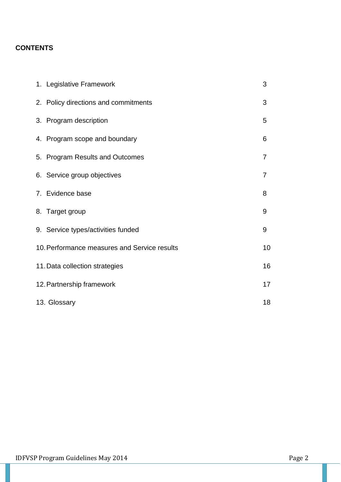# **CONTENTS**

| 1. Legislative Framework                     | 3              |  |  |  |
|----------------------------------------------|----------------|--|--|--|
| 2. Policy directions and commitments         | 3              |  |  |  |
| 3. Program description                       | 5              |  |  |  |
| 4. Program scope and boundary                | 6              |  |  |  |
| 5. Program Results and Outcomes              | 7              |  |  |  |
| 6. Service group objectives                  | $\overline{7}$ |  |  |  |
| 7. Evidence base                             | 8              |  |  |  |
| 8. Target group                              | 9              |  |  |  |
| 9. Service types/activities funded           | 9              |  |  |  |
| 10. Performance measures and Service results | 10             |  |  |  |
| 11. Data collection strategies               |                |  |  |  |
| 12. Partnership framework                    |                |  |  |  |
| 13. Glossary                                 |                |  |  |  |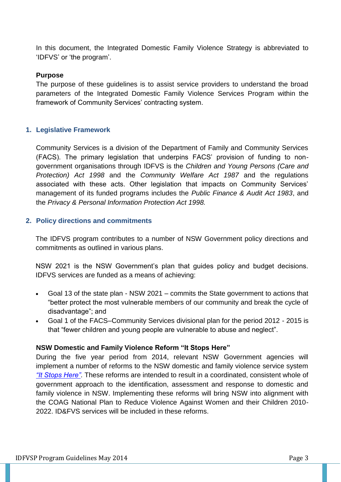In this document, the Integrated Domestic Family Violence Strategy is abbreviated to 'IDFVS' or 'the program'.

#### **Purpose**

The purpose of these guidelines is to assist service providers to understand the broad parameters of the Integrated Domestic Family Violence Services Program within the framework of Community Services' contracting system.

#### **1. Legislative Framework**

Community Services is a division of the Department of Family and Community Services (FACS). The primary legislation that underpins FACS' provision of funding to nongovernment organisations through IDFVS is the *Children and Young Persons (Care and Protection) Act 1998* and the *Community Welfare Act 1987* and the regulations associated with these acts. Other legislation that impacts on Community Services' management of its funded programs includes the *Public Finance & Audit Act 1983*, and the *Privacy & Personal Information Protection Act 1998.*

#### **2. Policy directions and commitments**

The IDFVS program contributes to a number of NSW Government policy directions and commitments as outlined in various plans.

NSW 2021 is the NSW Government's plan that guides policy and budget decisions. IDFVS services are funded as a means of achieving:

- Goal 13 of the state plan NSW 2021 commits the State government to actions that "better protect the most vulnerable members of our community and break the cycle of disadvantage"; and
- Goal 1 of the FACS–Community Services divisional plan for the period 2012 2015 is that "fewer children and young people are vulnerable to abuse and neglect".

#### **NSW Domestic and Family Violence Reform "It Stops Here"**

During the five year period from 2014, relevant NSW Government agencies will implement a number of reforms to the NSW domestic and family violence service system *["It Stops Here"](http://www.women.nsw.gov.au/news/items/it_stops_here_-_a_new_approach_to_domestic_violence_in_nsw)*. These reforms are intended to result in a coordinated, consistent whole of government approach to the identification, assessment and response to domestic and family violence in NSW. Implementing these reforms will bring NSW into alignment with the COAG National Plan to Reduce Violence Against Women and their Children 2010- 2022. ID&FVS services will be included in these reforms.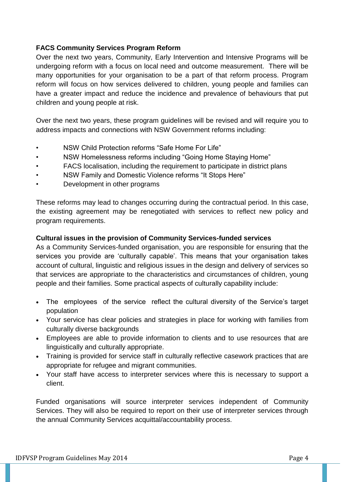#### **FACS Community Services Program Reform**

Over the next two years, Community, Early Intervention and Intensive Programs will be undergoing reform with a focus on local need and outcome measurement. There will be many opportunities for your organisation to be a part of that reform process. Program reform will focus on how services delivered to children, young people and families can have a greater impact and reduce the incidence and prevalence of behaviours that put children and young people at risk.

Over the next two years, these program guidelines will be revised and will require you to address impacts and connections with NSW Government reforms including:

- NSW Child Protection reforms "Safe Home For Life"
- NSW Homelessness reforms including "Going Home Staying Home"
- FACS localisation, including the requirement to participate in district plans
- NSW Family and Domestic Violence reforms "It Stops Here"
- Development in other programs

These reforms may lead to changes occurring during the contractual period. In this case, the existing agreement may be renegotiated with services to reflect new policy and program requirements.

#### **Cultural issues in the provision of Community Services-funded services**

As a Community Services-funded organisation, you are responsible for ensuring that the services you provide are 'culturally capable'. This means that your organisation takes account of cultural, linguistic and religious issues in the design and delivery of services so that services are appropriate to the characteristics and circumstances of children, young people and their families. Some practical aspects of culturally capability include:

- The employees of the service reflect the cultural diversity of the Service's target population
- Your service has clear policies and strategies in place for working with families from culturally diverse backgrounds
- Employees are able to provide information to clients and to use resources that are linguistically and culturally appropriate.
- Training is provided for service staff in culturally reflective casework practices that are appropriate for refugee and migrant communities.
- Your staff have access to interpreter services where this is necessary to support a client.

Funded organisations will source interpreter services independent of Community Services. They will also be required to report on their use of interpreter services through the annual Community Services acquittal/accountability process.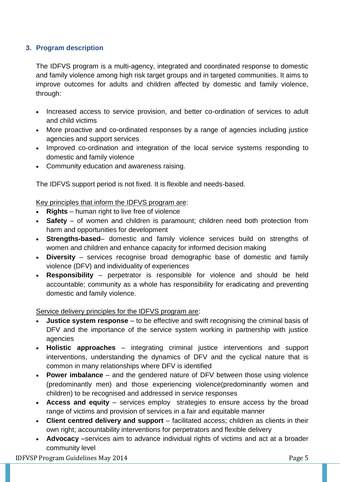## **3. Program description**

The IDFVS program is a multi-agency, integrated and coordinated response to domestic and family violence among high risk target groups and in targeted communities. It aims to improve outcomes for adults and children affected by domestic and family violence, through:

- Increased access to service provision, and better co-ordination of services to adult and child victims
- More proactive and co-ordinated responses by a range of agencies including justice agencies and support services
- Improved co-ordination and integration of the local service systems responding to domestic and family violence
- Community education and awareness raising.

The IDFVS support period is not fixed. It is flexible and needs-based.

## Key principles that inform the IDFVS program are:

- **Rights** human right to live free of violence
- **Safety** of women and children is paramount; children need both protection from harm and opportunities for development
- **Strengths-based** domestic and family violence services build on strengths of women and children and enhance capacity for informed decision making
- **Diversity** services recognise broad demographic base of domestic and family violence (DFV) and individuality of experiences
- **Responsibility**  perpetrator is responsible for violence and should be held accountable; community as a whole has responsibility for eradicating and preventing domestic and family violence.

Service delivery principles for the IDFVS program are:

- **Justice system response** to be effective and swift recognising the criminal basis of DFV and the importance of the service system working in partnership with justice agencies
- **Holistic approaches** integrating criminal justice interventions and support interventions, understanding the dynamics of DFV and the cyclical nature that is common in many relationships where DFV is identified
- **Power imbalance** and the gendered nature of DFV between those using violence (predominantly men) and those experiencing violence(predominantly women and children) to be recognised and addressed in service responses
- **Access and equity** services employ strategies to ensure access by the broad range of victims and provision of services in a fair and equitable manner
- **Client centred delivery and support** facilitated access; children as clients in their own right; accountability interventions for perpetrators and flexible delivery
- **Advocacy** –services aim to advance individual rights of victims and act at a broader community level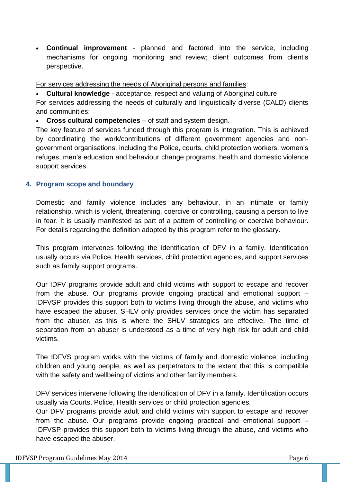**Continual improvement** - planned and factored into the service, including mechanisms for ongoing monitoring and review; client outcomes from client's perspective.

For services addressing the needs of Aboriginal persons and families:

**Cultural knowledge** - acceptance, respect and valuing of Aboriginal culture

For services addressing the needs of culturally and linguistically diverse (CALD) clients and communities:

**Cross cultural competencies** – of staff and system design.

The key feature of services funded through this program is integration. This is achieved by coordinating the work/contributions of different government agencies and nongovernment organisations, including the Police, courts, child protection workers, women's refuges, men's education and behaviour change programs, health and domestic violence support services.

#### **4. Program scope and boundary**

Domestic and family violence includes any behaviour, in an intimate or family relationship, which is violent, threatening, coercive or controlling, causing a person to live in fear. It is usually manifested as part of a pattern of controlling or coercive behaviour. For details regarding the definition adopted by this program refer to the glossary.

This program intervenes following the identification of DFV in a family. Identification usually occurs via Police, Health services, child protection agencies, and support services such as family support programs.

Our IDFV programs provide adult and child victims with support to escape and recover from the abuse. Our programs provide ongoing practical and emotional support – IDFVSP provides this support both to victims living through the abuse, and victims who have escaped the abuser. SHLV only provides services once the victim has separated from the abuser, as this is where the SHLV strategies are effective. The time of separation from an abuser is understood as a time of very high risk for adult and child victims.

The IDFVS program works with the victims of family and domestic violence, including children and young people, as well as perpetrators to the extent that this is compatible with the safety and wellbeing of victims and other family members.

DFV services intervene following the identification of DFV in a family. Identification occurs usually via Courts, Police, Health services or child protection agencies.

Our DFV programs provide adult and child victims with support to escape and recover from the abuse. Our programs provide ongoing practical and emotional support – IDFVSP provides this support both to victims living through the abuse, and victims who have escaped the abuser.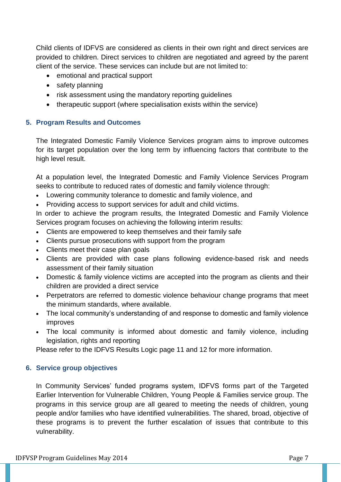Child clients of IDFVS are considered as clients in their own right and direct services are provided to children. Direct services to children are negotiated and agreed by the parent client of the service. These services can include but are not limited to:

- emotional and practical support
- safety planning
- risk assessment using the mandatory reporting guidelines
- therapeutic support (where specialisation exists within the service)

#### **5. Program Results and Outcomes**

The Integrated Domestic Family Violence Services program aims to improve outcomes for its target population over the long term by influencing factors that contribute to the high level result.

At a population level, the Integrated Domestic and Family Violence Services Program seeks to contribute to reduced rates of domestic and family violence through:

- Lowering community tolerance to domestic and family violence, and
- Providing access to support services for adult and child victims.

In order to achieve the program results, the Integrated Domestic and Family Violence Services program focuses on achieving the following interim results:

- Clients are empowered to keep themselves and their family safe
- Clients pursue prosecutions with support from the program
- Clients meet their case plan goals
- Clients are provided with case plans following evidence-based risk and needs assessment of their family situation
- Domestic & family violence victims are accepted into the program as clients and their children are provided a direct service
- Perpetrators are referred to domestic violence behaviour change programs that meet the minimum standards, where available.
- The local community's understanding of and response to domestic and family violence improves
- The local community is informed about domestic and family violence, including legislation, rights and reporting

Please refer to the IDFVS Results Logic page 11 and 12 for more information.

#### **6. Service group objectives**

In Community Services' funded programs system, IDFVS forms part of the Targeted Earlier Intervention for Vulnerable Children, Young People & Families service group. The programs in this service group are all geared to meeting the needs of children, young people and/or families who have identified vulnerabilities. The shared, broad, objective of these programs is to prevent the further escalation of issues that contribute to this vulnerability.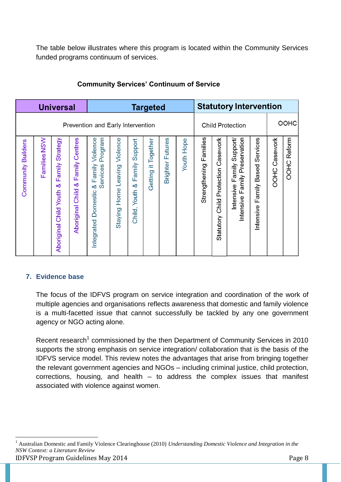The table below illustrates where this program is located within the Community Services funded programs continuum of services.

| <b>Universal</b>   |                                   |                                                   |                                                 | <b>Targeted</b>                                                                 |                                        |                                               |                           |                         | <b>Statutory Intervention</b> |                           |                                             |                                                                        |                                       |                  |                    |
|--------------------|-----------------------------------|---------------------------------------------------|-------------------------------------------------|---------------------------------------------------------------------------------|----------------------------------------|-----------------------------------------------|---------------------------|-------------------------|-------------------------------|---------------------------|---------------------------------------------|------------------------------------------------------------------------|---------------------------------------|------------------|--------------------|
|                    | Prevention and Early Intervention |                                                   |                                                 |                                                                                 |                                        |                                               |                           |                         |                               | <b>Child Protection</b>   |                                             |                                                                        | OOHC                                  |                  |                    |
| Community Builders | <b>NSW</b><br>Families            | Strategy<br>Family<br>ళ<br>Aboriginal Child Youth | Family Centres<br>×්<br><b>Aboriginal Child</b> | Violence<br>Program<br>Services<br>Family<br>ళ<br><b>Domestic</b><br>Integrated | Violence<br>Leaving<br>Home<br>Staying | Support<br>amily<br>ш<br>ళ<br>Youth<br>Child, | Together<br>Ħ,<br>Getting | <b>Brighter Futures</b> | <b>Youth Hope</b>             | Families<br>Strengthening | Protection Casework<br>Child I<br>Statutory | Preservation<br>Support/<br>Family<br>Family<br>Intensive<br>Intensive | Services<br>Family Based<br>Intensive | Casework<br>OOHC | <b>OOHC Reform</b> |

## **Community Services' Continuum of Service**

#### **7. Evidence base**

<u>.</u>

The focus of the IDFVS program on service integration and coordination of the work of multiple agencies and organisations reflects awareness that domestic and family violence is a multi-facetted issue that cannot successfully be tackled by any one government agency or NGO acting alone.

Recent research<sup>1</sup> commissioned by the then Department of Community Services in 2010 supports the strong emphasis on service integration/ collaboration that is the basis of the IDFVS service model. This review notes the advantages that arise from bringing together the relevant government agencies and NGOs – including criminal justice, child protection, corrections, housing, and health – to address the complex issues that manifest associated with violence against women.

IDFVSP Program Guidelines May 2014 <sup>1</sup> Australian Domestic and Family Violence Clearinghouse (2010) *Understanding Domestic Violence and Integration in the NSW Context: a Literature Review*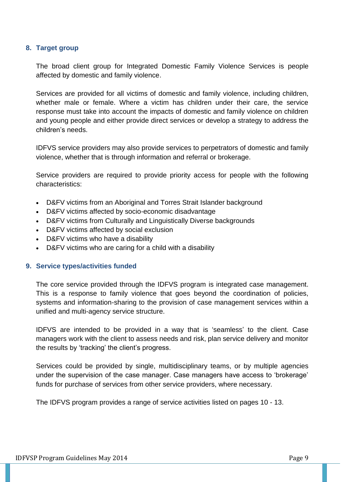#### **8. Target group**

The broad client group for Integrated Domestic Family Violence Services is people affected by domestic and family violence.

Services are provided for all victims of domestic and family violence, including children, whether male or female. Where a victim has children under their care, the service response must take into account the impacts of domestic and family violence on children and young people and either provide direct services or develop a strategy to address the children's needs.

IDFVS service providers may also provide services to perpetrators of domestic and family violence, whether that is through information and referral or brokerage.

Service providers are required to provide priority access for people with the following characteristics:

- D&FV victims from an Aboriginal and Torres Strait Islander background
- D&FV victims affected by socio-economic disadvantage
- D&FV victims from Culturally and Linguistically Diverse backgrounds
- D&FV victims affected by social exclusion
- D&FV victims who have a disability
- D&FV victims who are caring for a child with a disability

#### **9. Service types/activities funded**

The core service provided through the IDFVS program is integrated case management. This is a response to family violence that goes beyond the coordination of policies, systems and information-sharing to the provision of case management services within a unified and multi-agency service structure.

IDFVS are intended to be provided in a way that is 'seamless' to the client. Case managers work with the client to assess needs and risk, plan service delivery and monitor the results by 'tracking' the client's progress.

Services could be provided by single, multidisciplinary teams, or by multiple agencies under the supervision of the case manager. Case managers have access to 'brokerage' funds for purchase of services from other service providers, where necessary.

The IDFVS program provides a range of service activities listed on pages 10 - 13.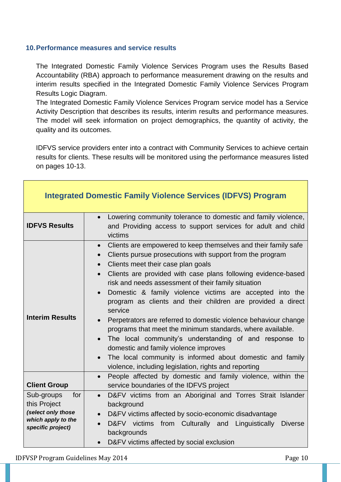#### **10.Performance measures and service results**

The Integrated Domestic Family Violence Services Program uses the Results Based Accountability (RBA) approach to performance measurement drawing on the results and interim results specified in the Integrated Domestic Family Violence Services Program Results Logic Diagram.

The Integrated Domestic Family Violence Services Program service model has a Service Activity Description that describes its results, interim results and performance measures. The model will seek information on project demographics, the quantity of activity, the quality and its outcomes.

IDFVS service providers enter into a contract with Community Services to achieve certain results for clients. These results will be monitored using the performance measures listed on pages 10-13.

| <b>Integrated Domestic Family Violence Services (IDFVS) Program</b>                                |                                                                                                                                                                                                                                                                                                                                                                                                                                                                                                                                                                                                                                                                                                                                                                                                                                                                         |  |  |  |  |  |  |
|----------------------------------------------------------------------------------------------------|-------------------------------------------------------------------------------------------------------------------------------------------------------------------------------------------------------------------------------------------------------------------------------------------------------------------------------------------------------------------------------------------------------------------------------------------------------------------------------------------------------------------------------------------------------------------------------------------------------------------------------------------------------------------------------------------------------------------------------------------------------------------------------------------------------------------------------------------------------------------------|--|--|--|--|--|--|
| <b>IDFVS Results</b>                                                                               | Lowering community tolerance to domestic and family violence,<br>and Providing access to support services for adult and child<br>victims                                                                                                                                                                                                                                                                                                                                                                                                                                                                                                                                                                                                                                                                                                                                |  |  |  |  |  |  |
| <b>Interim Results</b>                                                                             | Clients are empowered to keep themselves and their family safe<br>$\bullet$<br>Clients pursue prosecutions with support from the program<br>$\bullet$<br>Clients meet their case plan goals<br>$\bullet$<br>Clients are provided with case plans following evidence-based<br>$\bullet$<br>risk and needs assessment of their family situation<br>Domestic & family violence victims are accepted into the<br>$\bullet$<br>program as clients and their children are provided a direct<br>service<br>Perpetrators are referred to domestic violence behaviour change<br>$\bullet$<br>programs that meet the minimum standards, where available.<br>The local community's understanding of and response to<br>domestic and family violence improves<br>The local community is informed about domestic and family<br>violence, including legislation, rights and reporting |  |  |  |  |  |  |
| <b>Client Group</b>                                                                                | People affected by domestic and family violence, within the<br>$\bullet$<br>service boundaries of the IDFVS project                                                                                                                                                                                                                                                                                                                                                                                                                                                                                                                                                                                                                                                                                                                                                     |  |  |  |  |  |  |
| Sub-groups<br>for<br>this Project<br>(select only those<br>which apply to the<br>specific project) | D&FV victims from an Aboriginal and Torres Strait Islander<br>$\bullet$<br>background<br>D&FV victims affected by socio-economic disadvantage<br>$\bullet$<br>D&FV victims from Culturally and<br>Linguistically<br><b>Diverse</b><br>backgrounds<br>D&FV victims affected by social exclusion<br>$\bullet$                                                                                                                                                                                                                                                                                                                                                                                                                                                                                                                                                             |  |  |  |  |  |  |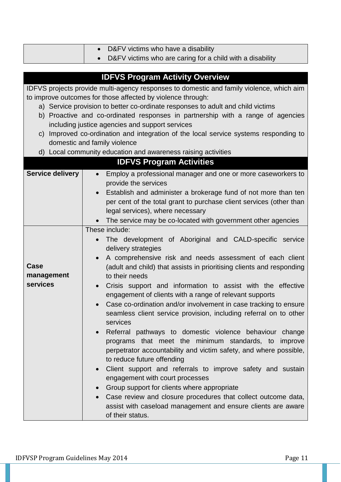|                                                                                          | D&FV victims who have a disability<br>$\bullet$                                      |  |  |  |  |  |  |  |
|------------------------------------------------------------------------------------------|--------------------------------------------------------------------------------------|--|--|--|--|--|--|--|
|                                                                                          | D&FV victims who are caring for a child with a disability<br>$\bullet$               |  |  |  |  |  |  |  |
|                                                                                          |                                                                                      |  |  |  |  |  |  |  |
| <b>IDFVS Program Activity Overview</b>                                                   |                                                                                      |  |  |  |  |  |  |  |
| IDFVS projects provide multi-agency responses to domestic and family violence, which aim |                                                                                      |  |  |  |  |  |  |  |
| to improve outcomes for those affected by violence through:                              |                                                                                      |  |  |  |  |  |  |  |
| a) Service provision to better co-ordinate responses to adult and child victims          |                                                                                      |  |  |  |  |  |  |  |
| b) Proactive and co-ordinated responses in partnership with a range of agencies          |                                                                                      |  |  |  |  |  |  |  |
|                                                                                          | including justice agencies and support services                                      |  |  |  |  |  |  |  |
|                                                                                          | c) Improved co-ordination and integration of the local service systems responding to |  |  |  |  |  |  |  |
|                                                                                          | domestic and family violence                                                         |  |  |  |  |  |  |  |
|                                                                                          | d) Local community education and awareness raising activities                        |  |  |  |  |  |  |  |
|                                                                                          | <b>IDFVS Program Activities</b>                                                      |  |  |  |  |  |  |  |
| <b>Service delivery</b>                                                                  | Employ a professional manager and one or more caseworkers to<br>$\bullet$            |  |  |  |  |  |  |  |
|                                                                                          | provide the services                                                                 |  |  |  |  |  |  |  |
|                                                                                          | Establish and administer a brokerage fund of not more than ten<br>$\bullet$          |  |  |  |  |  |  |  |
|                                                                                          | per cent of the total grant to purchase client services (other than                  |  |  |  |  |  |  |  |
|                                                                                          | legal services), where necessary                                                     |  |  |  |  |  |  |  |
|                                                                                          | The service may be co-located with government other agencies                         |  |  |  |  |  |  |  |
|                                                                                          | These include:                                                                       |  |  |  |  |  |  |  |
|                                                                                          | The development of Aboriginal and CALD-specific service<br>delivery strategies       |  |  |  |  |  |  |  |
|                                                                                          | A comprehensive risk and needs assessment of each client<br>$\bullet$                |  |  |  |  |  |  |  |
| Case                                                                                     | (adult and child) that assists in prioritising clients and responding                |  |  |  |  |  |  |  |
| management                                                                               | to their needs                                                                       |  |  |  |  |  |  |  |
| services                                                                                 | Crisis support and information to assist with the effective<br>$\bullet$             |  |  |  |  |  |  |  |
|                                                                                          | engagement of clients with a range of relevant supports                              |  |  |  |  |  |  |  |
|                                                                                          | Case co-ordination and/or involvement in case tracking to ensure                     |  |  |  |  |  |  |  |
|                                                                                          | seamless client service provision, including referral on to other                    |  |  |  |  |  |  |  |
|                                                                                          | services                                                                             |  |  |  |  |  |  |  |
|                                                                                          | Referral pathways to domestic violence behaviour change<br>$\bullet$                 |  |  |  |  |  |  |  |
|                                                                                          | programs that meet the minimum standards, to improve                                 |  |  |  |  |  |  |  |
|                                                                                          | perpetrator accountability and victim safety, and where possible,                    |  |  |  |  |  |  |  |
|                                                                                          | to reduce future offending                                                           |  |  |  |  |  |  |  |
|                                                                                          | Client support and referrals to improve safety and sustain                           |  |  |  |  |  |  |  |
|                                                                                          | engagement with court processes                                                      |  |  |  |  |  |  |  |
|                                                                                          | Group support for clients where appropriate<br>$\bullet$                             |  |  |  |  |  |  |  |
|                                                                                          | Case review and closure procedures that collect outcome data,                        |  |  |  |  |  |  |  |
|                                                                                          | assist with caseload management and ensure clients are aware                         |  |  |  |  |  |  |  |
|                                                                                          | of their status.                                                                     |  |  |  |  |  |  |  |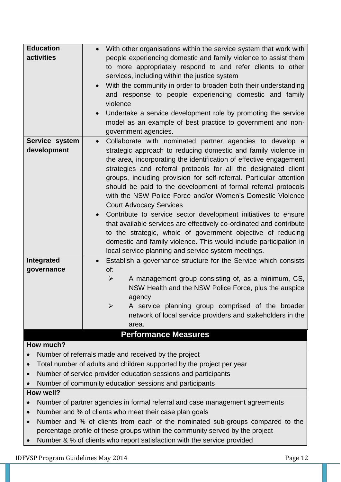| <b>Education</b>                                                                           | • With other organisations within the service system that work with          |  |  |  |  |  |  |
|--------------------------------------------------------------------------------------------|------------------------------------------------------------------------------|--|--|--|--|--|--|
| activities                                                                                 | people experiencing domestic and family violence to assist them              |  |  |  |  |  |  |
|                                                                                            | to more appropriately respond to and refer clients to other                  |  |  |  |  |  |  |
|                                                                                            | services, including within the justice system                                |  |  |  |  |  |  |
|                                                                                            | With the community in order to broaden both their understanding              |  |  |  |  |  |  |
|                                                                                            | and response to people experiencing domestic and family                      |  |  |  |  |  |  |
|                                                                                            | violence                                                                     |  |  |  |  |  |  |
|                                                                                            | Undertake a service development role by promoting the service<br>$\bullet$   |  |  |  |  |  |  |
|                                                                                            | model as an example of best practice to government and non-                  |  |  |  |  |  |  |
|                                                                                            | government agencies.                                                         |  |  |  |  |  |  |
| Service system                                                                             | Collaborate with nominated partner agencies to develop a<br>$\bullet$        |  |  |  |  |  |  |
| development                                                                                | strategic approach to reducing domestic and family violence in               |  |  |  |  |  |  |
|                                                                                            | the area, incorporating the identification of effective engagement           |  |  |  |  |  |  |
|                                                                                            | strategies and referral protocols for all the designated client              |  |  |  |  |  |  |
|                                                                                            | groups, including provision for self-referral. Particular attention          |  |  |  |  |  |  |
|                                                                                            | should be paid to the development of formal referral protocols               |  |  |  |  |  |  |
|                                                                                            | with the NSW Police Force and/or Women's Domestic Violence                   |  |  |  |  |  |  |
|                                                                                            | <b>Court Advocacy Services</b>                                               |  |  |  |  |  |  |
|                                                                                            | Contribute to service sector development initiatives to ensure               |  |  |  |  |  |  |
|                                                                                            | that available services are effectively co-ordinated and contribute          |  |  |  |  |  |  |
|                                                                                            | to the strategic, whole of government objective of reducing                  |  |  |  |  |  |  |
|                                                                                            | domestic and family violence. This would include participation in            |  |  |  |  |  |  |
|                                                                                            | local service planning and service system meetings.                          |  |  |  |  |  |  |
| Integrated                                                                                 | Establish a governance structure for the Service which consists<br>$\bullet$ |  |  |  |  |  |  |
| governance                                                                                 | of:                                                                          |  |  |  |  |  |  |
|                                                                                            | A management group consisting of, as a minimum, CS,<br>$\blacktriangleright$ |  |  |  |  |  |  |
|                                                                                            | NSW Health and the NSW Police Force, plus the auspice                        |  |  |  |  |  |  |
|                                                                                            | agency                                                                       |  |  |  |  |  |  |
|                                                                                            | A service planning group comprised of the broader<br>➤                       |  |  |  |  |  |  |
|                                                                                            | network of local service providers and stakeholders in the                   |  |  |  |  |  |  |
|                                                                                            | area.                                                                        |  |  |  |  |  |  |
|                                                                                            | <b>Performance Measures</b>                                                  |  |  |  |  |  |  |
| How much?                                                                                  |                                                                              |  |  |  |  |  |  |
|                                                                                            | Number of referrals made and received by the project                         |  |  |  |  |  |  |
| Total number of adults and children supported by the project per year<br>$\bullet$         |                                                                              |  |  |  |  |  |  |
| Number of service provider education sessions and participants<br>$\bullet$                |                                                                              |  |  |  |  |  |  |
| Number of community education sessions and participants                                    |                                                                              |  |  |  |  |  |  |
| How well?                                                                                  |                                                                              |  |  |  |  |  |  |
| Number of partner agencies in formal referral and case management agreements               |                                                                              |  |  |  |  |  |  |
| Number and % of clients who meet their case plan goals<br>$\bullet$                        |                                                                              |  |  |  |  |  |  |
| Number and % of clients from each of the nominated sub-groups compared to the<br>$\bullet$ |                                                                              |  |  |  |  |  |  |
| percentage profile of these groups within the community served by the project              |                                                                              |  |  |  |  |  |  |
| Number & % of clients who report satisfaction with the service provided<br>$\bullet$       |                                                                              |  |  |  |  |  |  |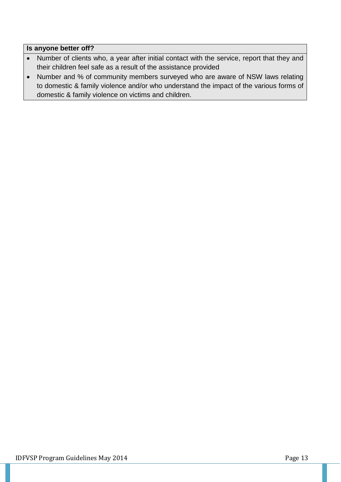#### **Is anyone better off?**

- Number of clients who, a year after initial contact with the service, report that they and their children feel safe as a result of the assistance provided
- Number and % of community members surveyed who are aware of NSW laws relating to domestic & family violence and/or who understand the impact of the various forms of domestic & family violence on victims and children.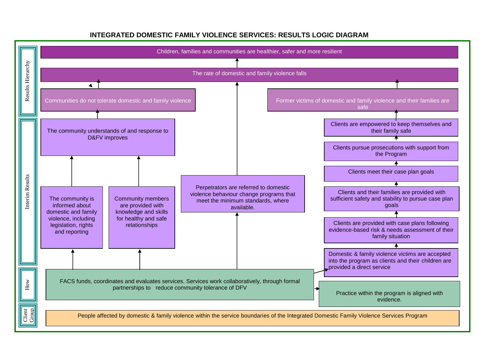

#### **INTEGRATED DOMESTIC FAMILY VIOLENCE SERVICES: RESULTS LOGIC DIAGRAM**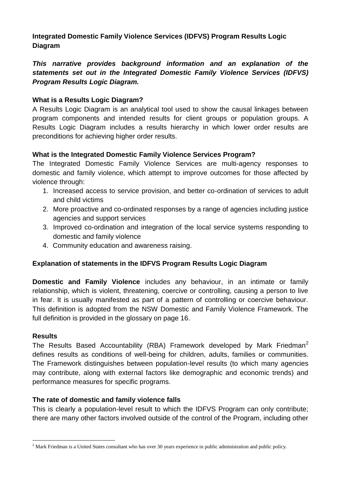**Integrated Domestic Family Violence Services (IDFVS) Program Results Logic Diagram**

*This narrative provides background information and an explanation of the statements set out in the Integrated Domestic Family Violence Services (IDFVS) Program Results Logic Diagram.*

## **What is a Results Logic Diagram?**

A Results Logic Diagram is an analytical tool used to show the causal linkages between program components and intended results for client groups or population groups. A Results Logic Diagram includes a results hierarchy in which lower order results are preconditions for achieving higher order results.

# **What is the Integrated Domestic Family Violence Services Program?**

The Integrated Domestic Family Violence Services are multi-agency responses to domestic and family violence, which attempt to improve outcomes for those affected by violence through:

- 1. Increased access to service provision, and better co-ordination of services to adult and child victims
- 2. More proactive and co-ordinated responses by a range of agencies including justice agencies and support services
- 3. Improved co-ordination and integration of the local service systems responding to domestic and family violence
- 4. Community education and awareness raising.

# **Explanation of statements in the IDFVS Program Results Logic Diagram**

**Domestic and Family Violence** includes any behaviour, in an intimate or family relationship, which is violent, threatening, coercive or controlling, causing a person to live in fear. It is usually manifested as part of a pattern of controlling or coercive behaviour. This definition is adopted from the NSW Domestic and Family Violence Framework. The full definition is provided in the glossary on page 16.

## **Results**

1

The Results Based Accountability (RBA) Framework developed by Mark Friedman<sup>2</sup> defines results as conditions of well-being for children, adults, families or communities. The Framework distinguishes between population-level results (to which many agencies may contribute, along with external factors like demographic and economic trends) and performance measures for specific programs.

## **The rate of domestic and family violence falls**

This is clearly a population-level result to which the IDFVS Program can only contribute; there are many other factors involved outside of the control of the Program, including other

<sup>&</sup>lt;sup>2</sup> Mark Friedman is a United States consultant who has over 30 years experience in public administration and public policy.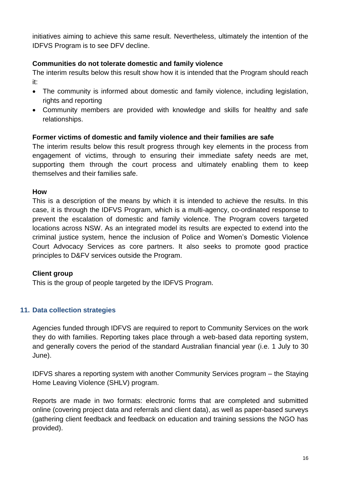initiatives aiming to achieve this same result. Nevertheless, ultimately the intention of the IDFVS Program is to see DFV decline.

## **Communities do not tolerate domestic and family violence**

The interim results below this result show how it is intended that the Program should reach it:

- The community is informed about domestic and family violence, including legislation, rights and reporting
- Community members are provided with knowledge and skills for healthy and safe relationships.

## **Former victims of domestic and family violence and their families are safe**

The interim results below this result progress through key elements in the process from engagement of victims, through to ensuring their immediate safety needs are met, supporting them through the court process and ultimately enabling them to keep themselves and their families safe.

#### **How**

This is a description of the means by which it is intended to achieve the results. In this case, it is through the IDFVS Program, which is a multi-agency, co-ordinated response to prevent the escalation of domestic and family violence. The Program covers targeted locations across NSW. As an integrated model its results are expected to extend into the criminal justice system, hence the inclusion of Police and Women's Domestic Violence Court Advocacy Services as core partners. It also seeks to promote good practice principles to D&FV services outside the Program.

## **Client group**

This is the group of people targeted by the IDFVS Program.

## **11. Data collection strategies**

Agencies funded through IDFVS are required to report to Community Services on the work they do with families. Reporting takes place through a web-based data reporting system, and generally covers the period of the standard Australian financial year (i.e. 1 July to 30 June).

IDFVS shares a reporting system with another Community Services program – the Staying Home Leaving Violence (SHLV) program.

Reports are made in two formats: electronic forms that are completed and submitted online (covering project data and referrals and client data), as well as paper-based surveys (gathering client feedback and feedback on education and training sessions the NGO has provided).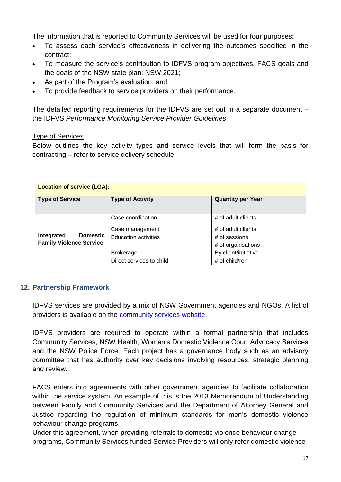The information that is reported to Community Services will be used for four purposes:

- To assess each service's effectiveness in delivering the outcomes specified in the contract;
- To measure the service's contribution to IDFVS program objectives, FACS goals and the goals of the NSW state plan: NSW 2021;
- As part of the Program's evaluation; and
- To provide feedback to service providers on their performance.

The detailed reporting requirements for the IDFVS are set out in a separate document – the IDFVS *Performance Monitoring Service Provider Guidelines*

#### Type of Services

Below outlines the key activity types and service levels that will form the basis for contracting – refer to service delivery schedule.

| <b>Location of service (LGA):</b> |                             |                          |  |  |  |  |
|-----------------------------------|-----------------------------|--------------------------|--|--|--|--|
| <b>Type of Service</b>            | <b>Type of Activity</b>     | <b>Quantity per Year</b> |  |  |  |  |
|                                   | Case coordination           | # of adult clients       |  |  |  |  |
|                                   | Case management             | # of adult clients       |  |  |  |  |
| <b>Domestic</b><br>Integrated     | <b>Education activities</b> | # of sessions            |  |  |  |  |
| <b>Family Violence Service</b>    |                             | # of organisations       |  |  |  |  |
|                                   | <b>Brokerage</b>            | By client/initiative     |  |  |  |  |
|                                   | Direct services to child    | # of child/ren           |  |  |  |  |

## **12. Partnership Framework**

IDFVS services are provided by a mix of NSW Government agencies and NGOs. A list of providers is available on the [community services website.](http://www.community.nsw.gov.au/docs_menu/for_agencies_that_work_with_us/our_funding_programs/intergrated_domestic_violence.html)

IDFVS providers are required to operate within a formal partnership that includes Community Services, NSW Health, Women's Domestic Violence Court Advocacy Services and the NSW Police Force. Each project has a governance body such as an advisory committee that has authority over key decisions involving resources, strategic planning and review.

FACS enters into agreements with other government agencies to facilitate collaboration within the service system. An example of this is the 2013 Memorandum of Understanding between Family and Community Services and the Department of Attorney General and Justice regarding the regulation of minimum standards for men's domestic violence behaviour change programs.

Under this agreement, when providing referrals to domestic violence behaviour change programs, Community Services funded Service Providers will only refer domestic violence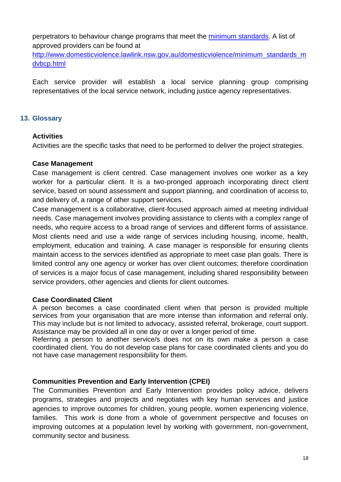perpetrators to behaviour change programs that meet the [minimum standards.](http://www.domesticviolence.lawlink.nsw.gov.au/domesticviolence/minimum_standards_mdvbcp.html) A list of approved providers can be found at

[http://www.domesticviolence.lawlink.nsw.gov.au/domesticviolence/minimum\\_standards\\_m](http://www.domesticviolence.lawlink.nsw.gov.au/domesticviolence/minimum_standards_mdvbcp.html) [dvbcp.html](http://www.domesticviolence.lawlink.nsw.gov.au/domesticviolence/minimum_standards_mdvbcp.html)

Each service provider will establish a local service planning group comprising representatives of the local service network, including justice agency representatives.

## **13. Glossary**

## **Activities**

Activities are the specific tasks that need to be performed to deliver the project strategies.

#### **Case Management**

Case management is client centred. Case management involves one worker as a key worker for a particular client. It is a two-pronged approach incorporating direct client service, based on sound assessment and support planning, and coordination of access to, and delivery of, a range of other support services.

Case management is a collaborative, client-focused approach aimed at meeting individual needs. Case management involves providing assistance to clients with a complex range of needs, who require access to a broad range of services and different forms of assistance. Most clients need and use a wide range of services including housing, income, health, employment, education and training. A case manager is responsible for ensuring clients maintain access to the services identified as appropriate to meet case plan goals. There is limited control any one agency or worker has over client outcomes; therefore coordination of services is a major focus of case management, including shared responsibility between service providers, other agencies and clients for client outcomes.

## **Case Coordinated Client**

A person becomes a case coordinated client when that person is provided multiple services from your organisation that are more intense than information and referral only. This may include but is not limited to advocacy, assisted referral, brokerage, court support. Assistance may be provided all in one day or over a longer period of time.

Referring a person to another service/s does not on its own make a person a case coordinated client. You do not develop case plans for case coordinated clients and you do not have case management responsibility for them.

## **Communities Prevention and Early Intervention (CPEI)**

The Communities Prevention and Early Intervention provides policy advice, delivers programs, strategies and projects and negotiates with key human services and justice agencies to improve outcomes for children, young people, women experiencing violence, families. This work is done from a whole of government perspective and focuses on improving outcomes at a population level by working with government, non-government, community sector and business.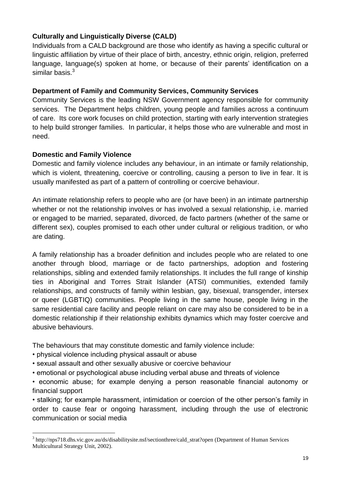# **Culturally and Linguistically Diverse (CALD)**

Individuals from a CALD background are those who identify as having a specific cultural or linguistic affiliation by virtue of their place of birth, ancestry, ethnic origin, religion, preferred language, language(s) spoken at home, or because of their parents' identification on a similar basis. $3$ 

#### **Department of Family and Community Services, Community Services**

Community Services is the leading NSW Government agency responsible for community services. The Department helps children, young people and families across a continuum of care. Its core work focuses on child protection, starting with early intervention strategies to help build stronger families. In particular, it helps those who are vulnerable and most in need.

## **Domestic and Family Violence**

Domestic and family violence includes any behaviour, in an intimate or family relationship, which is violent, threatening, coercive or controlling, causing a person to live in fear. It is usually manifested as part of a pattern of controlling or coercive behaviour.

An intimate relationship refers to people who are (or have been) in an intimate partnership whether or not the relationship involves or has involved a sexual relationship, i.e. married or engaged to be married, separated, divorced, de facto partners (whether of the same or different sex), couples promised to each other under cultural or religious tradition, or who are dating.

A family relationship has a broader definition and includes people who are related to one another through blood, marriage or de facto partnerships, adoption and fostering relationships, sibling and extended family relationships. It includes the full range of kinship ties in Aboriginal and Torres Strait Islander (ATSI) communities, extended family relationships, and constructs of family within lesbian, gay, bisexual, transgender, intersex or queer (LGBTIQ) communities. People living in the same house, people living in the same residential care facility and people reliant on care may also be considered to be in a domestic relationship if their relationship exhibits dynamics which may foster coercive and abusive behaviours.

The behaviours that may constitute domestic and family violence include:

• physical violence including physical assault or abuse

<u>.</u>

- sexual assault and other sexually abusive or coercive behaviour
- emotional or psychological abuse including verbal abuse and threats of violence

• economic abuse; for example denying a person reasonable financial autonomy or financial support

• stalking; for example harassment, intimidation or coercion of the other person's family in order to cause fear or ongoing harassment, including through the use of electronic communication or social media

<sup>3</sup> http://nps718.dhs.vic.gov.au/ds/disabilitysite.nsf/sectionthree/cald\_strat?open (Department of Human Services Multicultural Strategy Unit, 2002).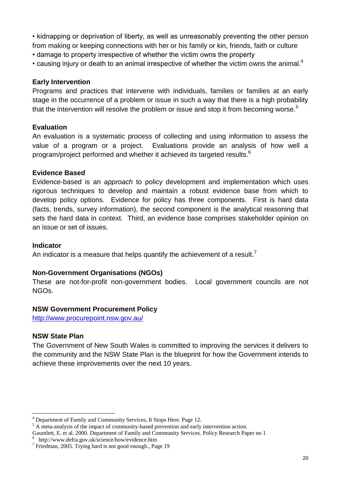• kidnapping or deprivation of liberty, as well as unreasonably preventing the other person from making or keeping connections with her or his family or kin, friends, faith or culture

- damage to property irrespective of whether the victim owns the property
- causing injury or death to an animal irrespective of whether the victim owns the animal. $4$

## **Early Intervention**

Programs and practices that intervene with individuals, families or families at an early stage in the occurrence of a problem or issue in such a way that there is a high probability that the intervention will resolve the problem or issue and stop it from becoming worse.<sup>5</sup>

# **Evaluation**

An evaluation is a systematic process of collecting and using information to assess the value of a program or a project. Evaluations provide an analysis of how well a program/project performed and whether it achieved its targeted results.<sup>6</sup>

# **Evidence Based**

Evidence-based is an *approach* to policy development and implementation which uses rigorous techniques to develop and maintain a robust evidence base from which to develop policy options. Evidence for policy has three components. First is hard data (facts, trends, survey information), the second component is the analytical reasoning that sets the hard data in context. Third, an evidence base comprises stakeholder opinion on an issue or set of issues.

## **Indicator**

An indicator is a measure that helps quantify the achievement of a result.<sup>7</sup>

# **Non-Government Organisations (NGOs)**

These are not-for-profit non-government bodies. Local government councils are not NGOs.

# **NSW Government Procurement Policy**

<http://www.procurepoint.nsw.gov.au/>

# **NSW State Plan**

1

The Government of New South Wales is committed to improving the services it delivers to the community and the [NSW State Plan](http://www.nsw.gov.au/stateplan/index.aspx?id=76bf6dc0-229c-402e-8331-9bae2a6743be) is the blueprint for how the Government intends to achieve these improvements over the next 10 years.

<sup>4</sup> Department of Family and Community Services, It Stops Here. Page 12.

A meta-analysis of the impact of community-based prevention and early intervention action.

Gauntlett, E. et al. 2000. Department of Family and Community Services. Policy Research Paper no 1

<sup>6</sup> http://www.defra.gov.uk/science/how/evidence.htm

<sup>&</sup>lt;sup>7</sup> Friedman, 2005. Trying hard is not good enough., Page 19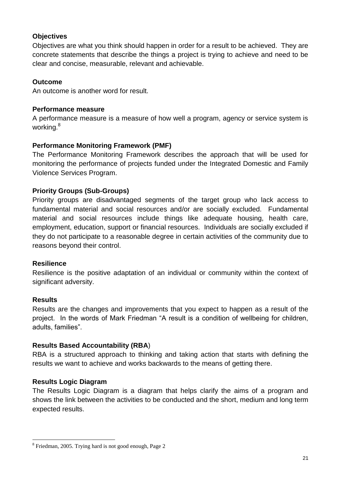#### **Objectives**

Objectives are what you think should happen in order for a result to be achieved. They are concrete statements that describe the things a project is trying to achieve and need to be clear and concise, measurable, relevant and achievable.

#### **Outcome**

An outcome is another word for result.

#### **Performance measure**

A performance measure is a measure of how well a program, agency or service system is working.<sup>8</sup>

#### **Performance Monitoring Framework (PMF)**

The Performance Monitoring Framework describes the approach that will be used for monitoring the performance of projects funded under the Integrated Domestic and Family Violence Services Program.

#### **Priority Groups (Sub-Groups)**

Priority groups are disadvantaged segments of the target group who lack access to fundamental material and social resources and/or are socially excluded. Fundamental material and social resources include things like adequate housing, health care, employment, education, support or financial resources. Individuals are socially excluded if they do not participate to a reasonable degree in certain activities of the community due to reasons beyond their control.

#### **Resilience**

Resilience is the positive adaptation of an individual or community within the context of significant adversity.

#### **Results**

1

Results are the changes and improvements that you expect to happen as a result of the project. In the words of Mark Friedman "A result is a condition of wellbeing for children, adults, families".

## **Results Based Accountability (RBA**)

RBA is a structured approach to thinking and taking action that starts with defining the results we want to achieve and works backwards to the means of getting there.

#### **Results Logic Diagram**

The Results Logic Diagram is a diagram that helps clarify the aims of a program and shows the link between the activities to be conducted and the short, medium and long term expected results.

<sup>&</sup>lt;sup>8</sup> Friedman, 2005. Trying hard is not good enough, Page 2